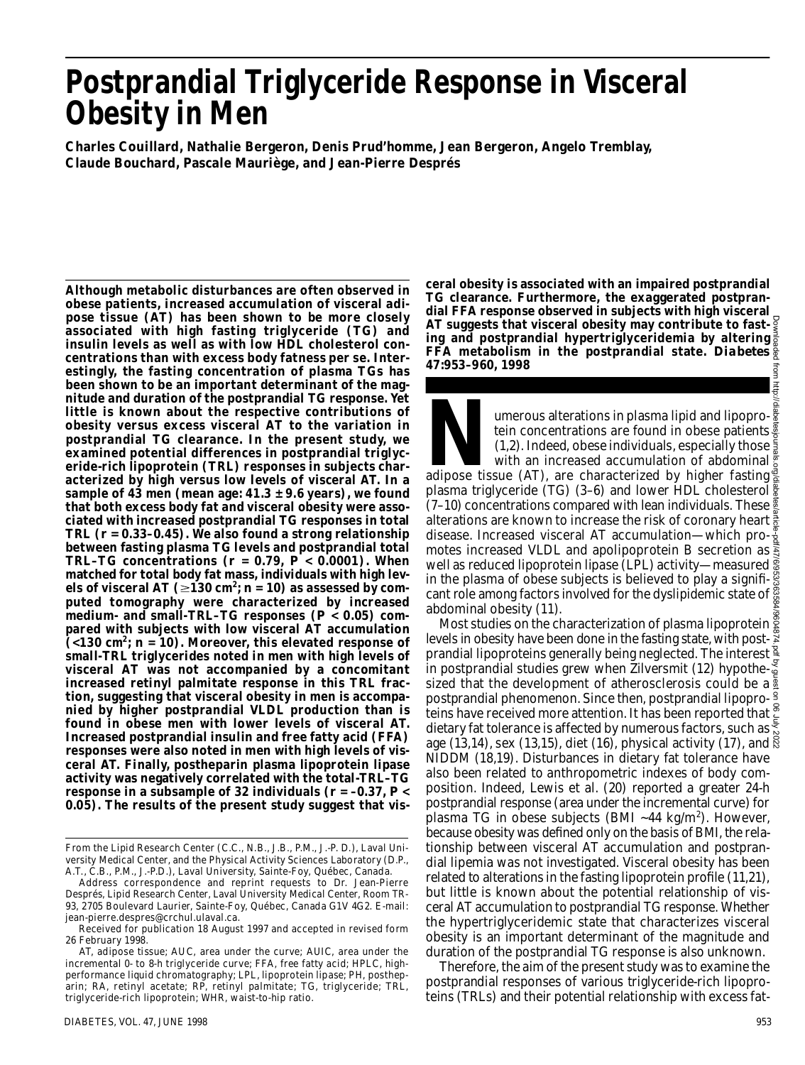# **Postprandial Triglyceride Response in Visceral Obesity in Men**

Charles Couillard, Nathalie Bergeron, Denis Prud'homme, Jean Bergeron, Angelo Tremblay, **Claude Bouchard, Pascale Mauriège, and Jean-Pierre Després**

**Although metabolic disturbances are often observed in obese patients, increased accumulation of visceral adipose tissue (AT) has been shown to be more closely associated with high fasting triglyceride (TG) and** insulin levels as well as with low HDL cholesterol con**centrations than with excess body fatness per se. Inter**estingly, the fasting concentration of plasma TGs has **been shown to be an important determinant of the magnitude and duration of the postprandial TG response. Ye t little is known about the respective contributions of obesity versus excess visceral AT to the variation in postprandial TG clearance. In the present study, we examined potential differences in postprandial triglyceride-rich lipoprotein (TRL) responses in subjects characterized by high versus low levels of visceral AT. In a sample of 43 men (mean age: 41.3 ± 9.6 years), we found that both excess body fat and visceral obesity were associated with increased postprandial TG responses in total TRL (***r =* **0.33–0.45). We also found a strong relationship between fasting plasma TG levels and postprandial total TRL–TG concentrations (***r* **= 0.79,** *P* **< 0.0001). When matched for total body fat mass, individuals with high lev**els of visceral AT ( $\ge$ 130 cm<sup>2</sup>; *n* = 10) as assessed by com**puted tomography were characterized by increased medium- and small-TRL–TG responses (***P* **< 0.05) compared with subjects with low visceral AT accumulation (<130 cm<sup>2</sup> ;** *n* **= 10). Moreover, this elevated response of small-TRL triglycerides noted in men with high levels of visceral AT was not accompanied by a concomitant increased retinyl palmitate response in this TRL fraction, suggesting that visceral obesity in men is accompanied by higher postprandial VLDL production than is found in obese men with lower levels of visceral AT. Increased postprandial insulin and free fatty acid (FFA ) responses were also noted in men with high levels of visceral AT. Finally, postheparin plasma lipoprotein lipase activity was negatively correlated with the total-TRL–TG response in a subsample of 32 individuals (***r* **= –0.37,** *P* **< 0.05). The results of the present study suggest that vis-** **ceral obesity is associated with an impaired postprandial TG clearance. Furthermore, the exaggerated postprandial FFA response observed in subjects with high visceral AT suggests that visceral obesity may contribute to fasting and postprandial hypertriglyceridemia by altering FFA metabolism in the postprandial state. Diabetes 47:953–960, 1998**

umerous alterations in plasma lipid and lipoprotein concentrations are found in obese patients (1,2). Indeed, obese individuals, especially those with an increased accumulation of abdominal adipose tissue (AT), are charact umerous alterations in plasma lipid and lipoprotein concentrations are found in obese patients (1,2). Indeed, obese individuals, especially those  $\frac{5}{8}$ with an increased accumulation of abdominal plasma triglyceride (TG) (3–6) and lower HDL cholesterol  $\frac{8}{9}$ (7–10) concentrations compared with lean individuals. These  $\frac{3}{5}$ alterations are known to increase the risk of coronary heart  $\frac{3}{6}$ disease. Increased visceral AT accumulation—which promotes increased VLDL and apolipoprotein B secretion as  $\frac{3}{5}$ well as reduced lipoprotein lipase (LPL) activity—measured in the plasma of obese subjects is believed to play a significant role among factors involved for the dyslipidemic state of abdominal obesity (11). Downloaded from http://diabetesjournals.org/diabetes/article-pdf/47/6/953/363584/9604874.pdf by guest on 06 July 2022

Most studies on the characterization of plasma lipoprotein  $\ddot{\tilde{\mathbf{s}}}$ levels in obesity have been done in the fasting state, with postprandial lipoproteins generally being neglected. The interest  $\frac{8}{3}$ in postprandial studies grew when Zilversmit (12) hypothesized that the development of atherosclerosis could be a postprandial phenomenon. Since then, postprandial lipoproteins have received more attention. It has been reported that  $\frac{8}{5}$ dietary fat tolerance is affected by numerous factors, such as age (13,14), sex (13,15), diet (16), physical activity (17), and  $\frac{8}{8}$ NIDDM (18,19). Disturbances in dietary fat tolerance have also been related to anthropometric indexes of body composition. Indeed, Lewis et al. (20) reported a greater 24-h postprandial response (area under the incremental curve) for plasma TG in obese subjects (BMI ~44 kg/m<sup>2</sup>). However, because obesity was defined only on the basis of BMI, the relationship between visceral AT accumulation and postprandial lipemia was not investigated. Visceral obesity has been related to alterations in the fasting lipoprotein profile (11,21), but little is known about the potential relationship of visceral AT accumulation to postprandial TG response. Whether the hypertriglyceridemic state that characterizes visceral obesity is an important determinant of the magnitude and duration of the postprandial TG response is also unknown.

Therefore, the aim of the present study was to examine the postprandial responses of various triglyceride-rich lipoproteins (TRLs) and their potential relationship with excess fat-

From the Lipid Research Center (C.C., N.B., J.B., P.M., J.-P. D.), Laval University Medical Center, and the Physical Activity Sciences Laboratory (D.P. , A.T., C.B., P.M., J.-P.D.), Laval University, Sainte-Foy, Québec, Canada.

Address correspondence and reprint requests to Dr. Jean-Pierre Després, Lipid Research Center, Laval University Medical Center, Room TR-93, 2705 Boulevard Laurier, Sainte-Foy, Québec, Canada G1V 4G2. E-mail: jean-pierre.despres@crchul.ulaval.ca.

Received for publication 18 August 1997 and accepted in revised form 26 February 1998.

AT, adipose tissue; AUC, area under the curve; AUIC, area under the incremental 0- to 8-h triglyceride curve; FFA, free fatty acid; HPLC, highperformance liquid chromatography; LPL, lipoprotein lipase; PH, postheparin; RA, retinyl acetate; RP, retinyl palmitate; TG, triglyceride; TRL, triglyceride-rich lipoprotein; WHR, waist-to-hip ratio.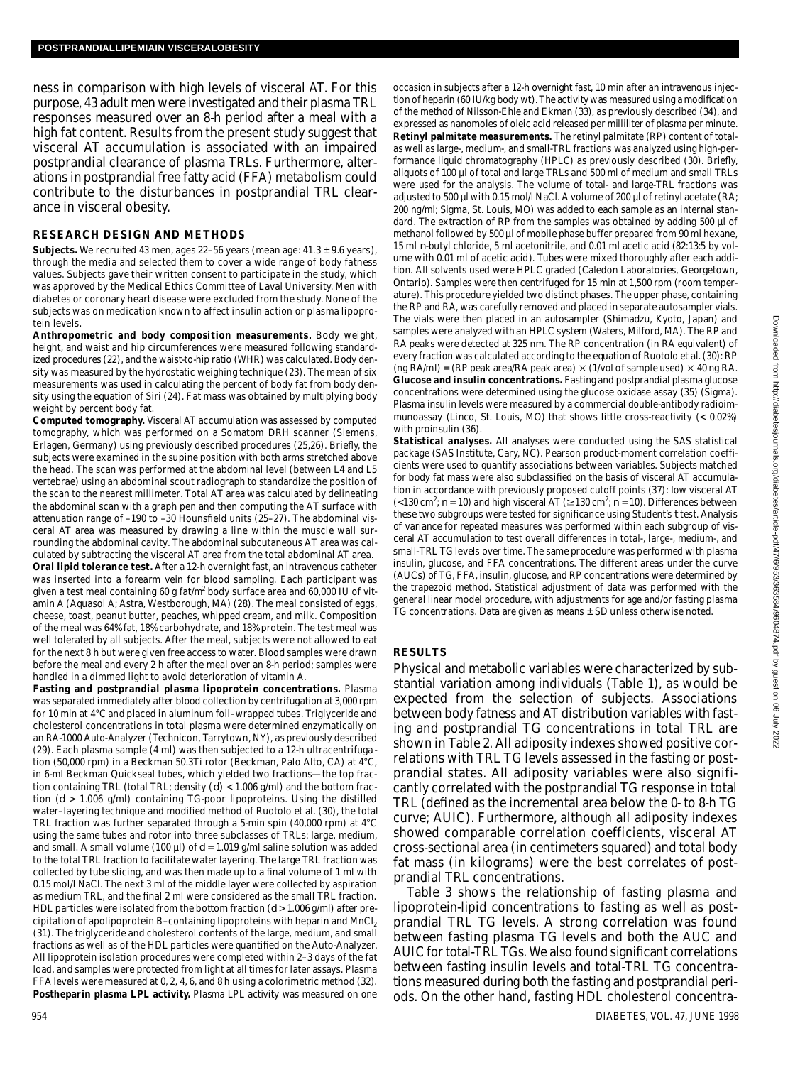ness in comparison with high levels of visceral AT. For this purpose, 43 adult men were investigated and their plasma TRL responses measured over an 8-h period after a meal with a high fat content. Results from the present study suggest that visceral AT accumulation is associated with an impaired postprandial clearance of plasma TRLs. Furthermore, alterations in postprandial free fatty acid (FFA) metabolism could contribute to the disturbances in postprandial TRL clearance in visceral obesity.

#### **RESEARCH DESIGN AND METHODS**

Subjects. We recruited 43 men, ages 22-56 years (mean age: 41.3 ± 9.6 years), through the media and selected them to cover a wide range of body fatness values. Subjects gave their written consent to participate in the study, which was approved by the Medical Ethics Committee of Laval University. Men with diabetes or coronary heart disease were excluded from the study. None of the subjects was on medication known to affect insulin action or plasma lipoprotein levels.

**Anthropometric and body composition measurements.** Body weight, height, and waist and hip circumferences were measured following standardized procedures (22), and the waist-to-hip ratio (WHR) was calculated. Body density was measured by the hydrostatic weighing technique (23). The mean of six measurements was used in calculating the percent of body fat from body density using the equation of Siri (24). Fat mass was obtained by multiplying body weight by percent body fat.

**Computed tomography.** Visceral AT accumulation was assessed by computed tomography, which was performed on a Somatom DRH scanner (Siemens, Erlagen, Germany) using previously described procedures (25,26). Briefly, the subjects were examined in the supine position with both arms stretched above the head. The scan was performed at the abdominal level (between L4 and L5 vertebrae) using an abdominal scout radiograph to standardize the position of the scan to the nearest millimeter. Total AT area was calculated by delineating the abdominal scan with a graph pen and then computing the AT surface with attenuation range of –190 to –30 Hounsfield units (25–27). The abdominal visceral AT area was measured by drawing a line within the muscle wall surrounding the abdominal cavity. The abdominal subcutaneous AT area was calculated by subtracting the visceral AT area from the total abdominal AT area. **Oral lipid tolerance test.** After a 12-h overnight fast, an intravenous catheter was inserted into a forearm vein for blood sampling. Each participant was given a test meal containing 60 g fat/ $m<sup>2</sup>$  body surface area and 60,000 IU of vitamin A (Aquasol A; Astra, Westborough, MA) (28). The meal consisted of eggs, cheese, toast, peanut butter, peaches, whipped cream, and milk. Composition of the meal was 64% fat, 18% carbohydrate, and 18% protein. The test meal was well tolerated by all subjects. After the meal, subjects were not allowed to eat for the next 8 h but were given free access to water. Blood samples were drawn before the meal and every 2 h after the meal over an 8-h period; samples were handled in a dimmed light to avoid deterioration of vitamin A.

Fasting and postprandial plasma lipoprotein concentrations. Plasma was separated immediately after blood collection by centrifugation at 3,000 rpm for 10 min at 4°C and placed in aluminum foil–wrapped tubes. Triglyceride and cholesterol concentrations in total plasma were determined enzymatically on an RA-1000 Auto-Analyzer (Technicon, Tarrytown, NY), as previously described (29). Each plasma sample (4 ml) was then subjected to a 12-h ultracentrifuga tion (50,000 rpm) in a Beckman 50.3Ti rotor (Beckman, Palo Alto, CA) at 4°C, in 6-ml Beckman Quickseal tubes, which yielded two fractions—the top fraction containing TRL (total TRL; density (*d)* < 1.006 g/ml) and the bottom fraction (*d* > 1.006 g/ml) containing TG-poor lipoproteins. Using the distilled water–layering technique and modified method of Ruotolo et al. (30), the total TRL fraction was further separated through a 5-min spin (40,000 rpm) at 4°C using the same tubes and rotor into three subclasses of TRLs: large, medium, and small. A small volume (100  $\mu$ l) of  $d = 1.019$  g/ml saline solution was added to the total TRL fraction to facilitate water layering. The large TRL fraction was collected by tube slicing, and was then made up to a final volume of 1 ml with 0.15 mol/l NaCl. The next 3 ml of the middle layer were collected by aspiration as medium TRL, and the final 2 ml were considered as the small TRL fraction. HDL particles were isolated from the bottom fraction (*d* > 1.006 g/ml) after precipitation of apolipoprotein B–containing lipoproteins with heparin and MnCl<sub>2</sub> (31). The triglyceride and cholesterol contents of the large, medium, and small fractions as well as of the HDL particles were quantified on the Auto-Analyzer. All lipoprotein isolation procedures were completed within 2–3 days of the fat load, and samples were protected from light at all times for later assays. Plasma F FA levels were measured at 0, 2, 4, 6, and 8 h using a colorimetric method (32). **Postheparin plasma LPL activity.** Plasma LPL activity was measured on one occasion in subjects after a 12-h overnight fast, 10 min after an intravenous injection of heparin (60 IU/kg body wt). The activity was measured using a modification of the method of Nilsson-Ehle and Ekman (33), as previously described (34), and expressed as nanomoles of oleic acid released per milliliter of plasma per minute. **Retinyl palmitate measurements***.* The retinyl palmitate (RP) content of totalas well as large-, medium-, and small-TRL fractions was analyzed using high-performance liquid chromatography (HPLC) as previously described (30). Briefly, aliquots of 100 µl of total and large TRLs and 500 ml of medium and small TRLs were used for the analysis. The volume of total- and large-TRL fractions was adjusted to 500 µl with 0.15 mol/l NaCl. A volume of 200 µl of retinyl acetate (RA; 200 ng/ml; Sigma, St. Louis, MO) was added to each sample as an internal standard. The extraction of RP from the samples was obtained by adding 500 µl of methanol followed by 500 µl of mobile phase buffer prepared from 90 ml hexane, 15 ml *n*-butyl chloride, 5 ml acetonitrile, and 0.01 ml acetic acid (82:13:5 by volume with 0.01 ml of acetic acid). Tubes were mixed thoroughly after each addition. All solvents used were HPLC graded (Caledon Laboratories, Georgetown, Ontario). Samples were then centrifuged for 15 min at 1,500 rpm (room temperature). This procedure yielded two distinct phases. The upper phase, containing the RP and RA, was carefully removed and placed in separate autosampler vials. The vials were then placed in an autosampler (Shimadzu, Kyoto, Japan) and samples were analyzed with an HPLC system (Waters, Milford, MA). The RP and RA peaks were detected at 325 nm. The RP concentration (in RA equivalent) of every fraction was calculated according to the equation of Ruotolo et al. (30): RP (ng RA/ml) = (RP peak area/RA peak area)  $\times$  (1/vol of sample used)  $\times$  40 ng RA. **Glucose and insulin concentrations.** Fasting and postprandial plasma glucose concentrations were determined using the glucose oxidase assay (35) (Sigma). Plasma insulin levels were measured by a commercial double-antibody radioimmunoassay (Linco, St. Louis, MO) that shows little cross-reactivity (< 0.02%) with proinsulin (36).

**Statistical analyses.** All analyses were conducted using the SAS statistical package (SAS Institute, Cary, NC). Pearson product-moment correlation coefficients were used to quantify associations between variables. Subjects matched for body fat mass were also subclassified on the basis of visceral AT accumulation in accordance with previously proposed cutoff points (37): low visceral AT  $\left($  < 130 cm<sup>2</sup>;  $n$  = 10) and high visceral AT  $\left(\geq$  130 cm<sup>2</sup>;  $n$  = 10). Differences between these two subgroups were tested for significance using Student's *t* test. Analysis of variance for repeated measures was performed within each subgroup of visceral AT accumulation to test overall differences in total-, large-, medium-, and small-TRL TG levels over time. The same procedure was performed with plasma insulin, glucose, and FFA concentrations. The different areas under the curve (AUCs) of TG, FFA, insulin, glucose, and RP concentrations were determined by the trapezoid method. Statistical adjustment of data was performed with the general linear model procedure, with adjustments for age and/or fasting plasma TG concentrations. Data are given as means ± SD unless otherwise noted.

## **R E S U LT S**

Physical and metabolic variables were characterized by substantial variation among individuals (Table 1), as would be expected from the selection of subjects. Associations between body fatness and AT distribution variables with fasting and postprandial TG concentrations in total TRL are shown in Table 2. All adiposity indexes showed positive correlations with TRL TG levels assessed in the fasting or postprandial states. All adiposity variables were also significantly correlated with the postprandial TG response in total TRL (defined as the incremental area below the 0- to 8-h TG curve; AUIC). Furthermore, although all adiposity indexes showed comparable correlation coefficients, visceral AT cross-sectional area (in centimeters squared) and total body fat mass (in kilograms) were the best correlates of postprandial TRL concentrations.

Table 3 shows the relationship of fasting plasma and lipoprotein-lipid concentrations to fasting as well as postprandial TRL TG levels. A strong correlation was found between fasting plasma TG levels and both the AUC and AUIC for total-TRL TGs. We also found significant correlations between fasting insulin levels and total-TRL TG concentrations measured during both the fasting and postprandial periods. On the other hand, fasting HDL cholesterol concentra-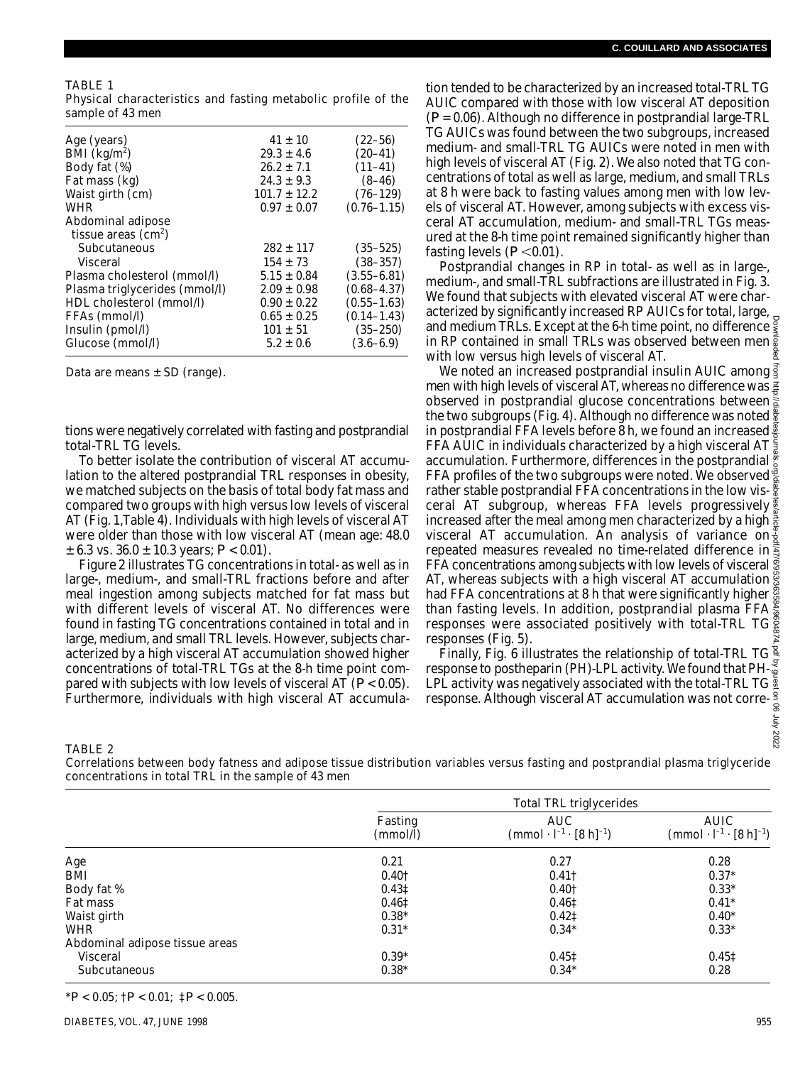## TABLE 1

Physical characteristics and fasting metabolic profile of the sample of 43 men

| Age (years)                         | $41 \pm 10$      | $(22 - 56)$     |
|-------------------------------------|------------------|-----------------|
| BMI $(kg/m2)$                       | $29.3 \pm 4.6$   | $(20 - 41)$     |
| Body fat (%)                        | $26.2 \pm 7.1$   | $(11 - 41)$     |
| Fat mass (kg)                       | $24.3 \pm 9.3$   | $(8-46)$        |
| Waist girth (cm)                    | $101.7 \pm 12.2$ | $(76 - 129)$    |
| <b>WHR</b>                          | $0.97 \pm 0.07$  | $(0.76 - 1.15)$ |
| Abdominal adipose                   |                  |                 |
| tissue areas $\text{(cm}^2\text{)}$ |                  |                 |
| Subcutaneous                        | $282 \pm 117$    | $(35 - 525)$    |
| Visceral                            | $154 \pm 73$     | $(38 - 357)$    |
| Plasma cholesterol (mmol/l)         | $5.15 \pm 0.84$  | $(3.55 - 6.81)$ |
| Plasma triglycerides (mmol/l)       | $2.09 \pm 0.98$  | $(0.68 - 4.37)$ |
| HDL cholesterol (mmol/l)            | $0.90 \pm 0.22$  | $(0.55 - 1.63)$ |
| FFAs (mmol/l)                       | $0.65 \pm 0.25$  | $(0.14 - 1.43)$ |
| Insulin (pmol/l)                    | $101 \pm 51$     | $(35 - 250)$    |
| Glucose (mmol/l)                    | $5.2 \pm 0.6$    | $(3.6 - 6.9)$   |
|                                     |                  |                 |

Data are means  $\pm$  SD (range).

tions were negatively correlated with fasting and postprandial total-TRL TG levels.

To better isolate the contribution of visceral AT accumulation to the altered postprandial TRL responses in obesity, we matched subjects on the basis of total body fat mass and compared two groups with high versus low levels of visceral AT (Fig. 1,Table 4). Individuals with high levels of visceral AT were older than those with low visceral AT (mean age: 48.0  $\pm$  6.3 vs. 36.0  $\pm$  10.3 years; *P* < 0.01).

Figure 2 illustrates TG concentrations in total- as well as in large-, medium-, and small-TRL fractions before and after meal ingestion among subjects matched for fat mass but with different levels of visceral AT. No differences were found in fasting TG concentrations contained in total and in large, medium, and small TRL levels. However, subjects characterized by a high visceral AT accumulation showed higher concentrations of total-TRL TGs at the 8-h time point compared with subjects with low levels of visceral AT (*P* < 0.05). Furthermore, individuals with high visceral AT accumula-

tion tended to be characterized by an increased total-TRL TG AUIC compared with those with low visceral AT deposition (*P* = 0.06). Although no difference in postprandial large-TRL TG AUICs was found between the two subgroups, increased medium- and small-TRL TG AUICs were noted in men with high levels of visceral AT (Fig. 2). We also noted that TG concentrations of total as well as large, medium, and small TRLs at 8 h were back to fasting values among men with low levels of visceral AT. However, among subjects with excess visceral AT accumulation, medium- and small-TRL TGs measured at the 8-h time point remained significantly higher than fasting levels  $(P< 0.01)$ .

Postprandial changes in RP in total- as well as in large-, medium-, and small-TRL subfractions are illustrated in Fig. 3. We found that subjects with elevated visceral AT were characterized by significantly increased RP AUICs for total, large, and medium TRLs. Except at the 6-h time point, no difference  $\frac{2}{3}$ in RP contained in small TRLs was observed between men  $\bar{\tilde{s}}$ with low versus high levels of visceral AT.

We noted an increased postprandial insulin AUIC among men with high levels of visceral AT, whereas no difference was  $\frac{3}{2}$ observed in postprandial glucose concentrations between  $\frac{5}{6}$ the two subgroups (Fig. 4). Although no difference was noted  $\frac{8}{8}$ in postprandial FFA levels before 8 h, we found an increased  $\frac{8}{5}$ FFA AUIC in individuals characterized by a high visceral AT  $\frac{5}{2}$ accumulation. Furthermore, differences in the postprandial  $\frac{m}{2}$ accumulation. The thermore, unterlines in the postpranulation.<br>FFA profiles of the two subgroups were noted. We observed rather stable postprandial FFA concentrations in the low visceral AT subgroup, whereas FFA levels progressively increased after the meal among men characterized by a high  $\frac{3}{2}$ visceral AT accumulation. An analysis of variance on repeated measures revealed no time-related difference in  $\frac{3}{2}$ FFA concentrations among subjects with low levels of visceral AT, whereas subjects with a high visceral AT accumulation  $\frac{8}{9}$ had FFA concentrations at 8 h that were significantly higher than fasting levels. In addition, postprandial plasma FFA than fasting levels. In addition, postprandial plasma FFA  $\frac{2}{5}$  responses were associated positively with total-TRL TG  $\frac{2}{5}$ responses (Fig. 5). Downloaded from http://diabetesjournals.org/diabetes/article-pdf/47/6/953/363584/9604874.pdf by guest on 06 July 2022

Finally, Fig. 6 illustrates the relationship of total-TRL TG response to postheparin (PH)-LPL activity. We found that PH-LPL activity was negatively associated with the total-TRL TG  $\frac{5}{2}$ response. Although visceral AT accumulation was not corre- $\frac{1}{90}$ 

TABLE 2

Correlations between body fatness and adipose tissue distribution variables versus fasting and postprandial plasma triglyceride concentrations in total TRL in the sample of 43 men

|                                | Total TRL triglycerides |                                                      |                                                       |
|--------------------------------|-------------------------|------------------------------------------------------|-------------------------------------------------------|
|                                | Fasting<br>(mmol/l)     | <b>AUC</b><br>$(mmol \cdot l^{-1} \cdot [8 h]^{-1})$ | <b>AUIC</b><br>$(mmol \cdot l^{-1} \cdot [8 h]^{-1})$ |
| Age                            | 0.21                    | 0.27                                                 | 0.28                                                  |
| BMI                            | 0.401                   | $0.41$ †                                             | $0.37*$                                               |
| Body fat %                     | 0.43‡                   | 0.401                                                | $0.33*$                                               |
| Fat mass                       | 0.461                   | 0.46‡                                                | $0.41*$                                               |
| Waist girth                    | $0.38*$                 | 0.421                                                | $0.40*$                                               |
| <b>WHR</b>                     | $0.31*$                 | $0.34*$                                              | $0.33*$                                               |
| Abdominal adipose tissue areas |                         |                                                      |                                                       |
| Visceral                       | $0.39*$                 | 0.451                                                | 0.45‡                                                 |
| Subcutaneous                   | $0.38*$                 | $0.34*$                                              | 0.28                                                  |

\**P* < 0.05; †*P* < 0.01; ‡*P* < 0.005.

š<br>Vuly 2022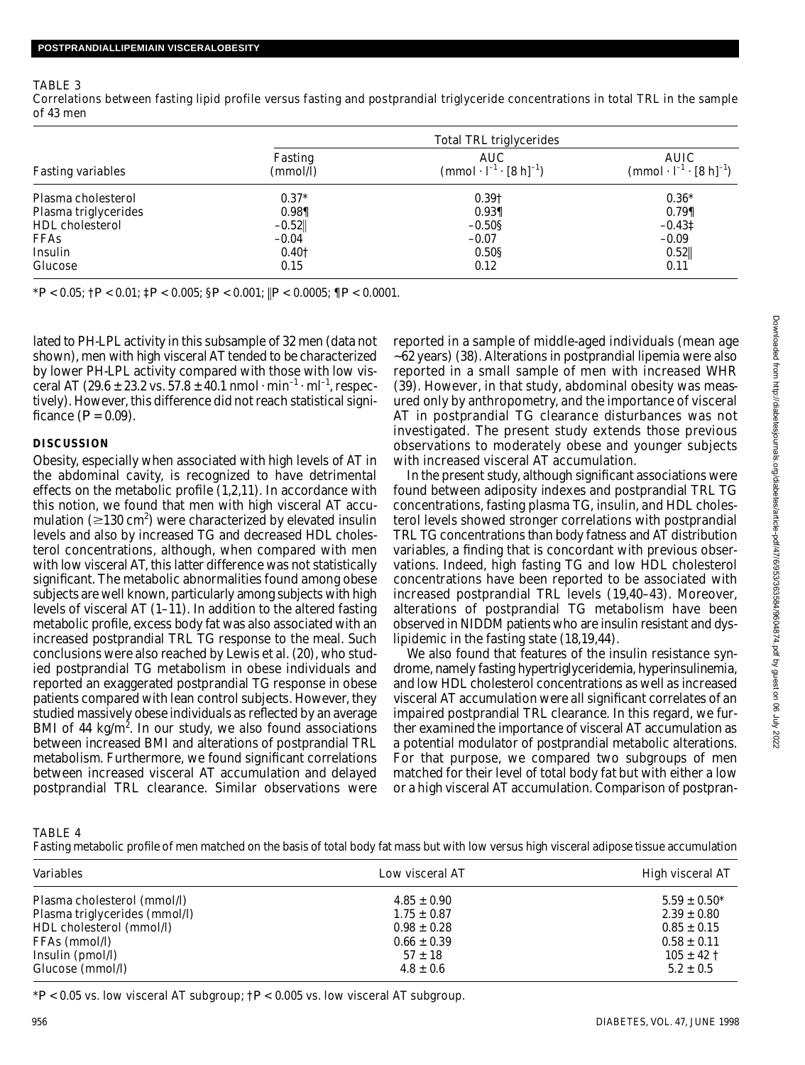## TABLE 3

Correlations between fasting lipid profile versus fasting and postprandial triglyceride concentrations in total TRL in the sample of 43 men

| <b>Fasting variables</b> | <b>Total TRL triglycerides</b> |                                                      |                                                |  |
|--------------------------|--------------------------------|------------------------------------------------------|------------------------------------------------|--|
|                          | Fasting<br>(mmol/l)            | <b>AUC</b><br>$(mmol \cdot l^{-1} \cdot [8 h]^{-1})$ | AUIC<br>$(mmol \cdot l^{-1} \cdot [8 h]^{-1})$ |  |
| Plasma cholesterol       | $0.37*$                        | 0.39 <sub>†</sub>                                    | $0.36*$                                        |  |
| Plasma triglycerides     | $0.98\P$                       | $0.93\P$                                             | 0.79                                           |  |
| <b>HDL</b> cholesterol   | $-0.52$                        | $-0.50$ §                                            | $-0.431$                                       |  |
| <b>FFAs</b>              | $-0.04$                        | $-0.07$                                              | $-0.09$                                        |  |
| Insulin                  | 0.40 <sup>†</sup>              | $0.50$ §                                             | 0.52                                           |  |
| Glucose                  | 0.15                           | 0.12                                                 | 0.11                                           |  |

 $*P < 0.05$ ;  $\uparrow P < 0.01$ ;  $\uparrow P < 0.005$ ;  $\oint P < 0.001$ ;  $\parallel P < 0.0005$ ;  $\parallel P < 0.0001$ .

lated to PH-LPL activity in this subsample of 32 men (data not shown), men with high visceral AT tended to be characterized by lower PH-LPL activity compared with those with low visceral AT (29.6  $\pm$  23.2 vs. 57.8  $\pm$  40.1 nmol · min<sup>-1</sup> · ml<sup>-1</sup>, respectively). However, this difference did not reach statistical significance  $(P = 0.09)$ .

## **DISCUSSION**

Obesity, especially when associated with high levels of AT in the abdominal cavity, is recognized to have detrimental effects on the metabolic profile (1,2,11). In accordance with this notion, we found that men with high visceral AT accumulation ( $\ge$ 130 cm<sup>2</sup>) were characterized by elevated insulin levels and also by increased TG and decreased HDL cholesterol concentrations, although, when compared with men with low visceral AT, this latter difference was not statistically significant. The metabolic abnormalities found among obese subjects are well known, particularly among subjects with high levels of visceral AT (1–11). In addition to the altered fasting metabolic profile, excess body fat was also associated with an increased postprandial TRL TG response to the meal. Such conclusions were also reached by Lewis et al. (20), who studied postprandial TG metabolism in obese individuals and reported an exaggerated postprandial TG response in obese patients compared with lean control subjects. However, they studied massively obese individuals as reflected by an average BMI of 44 kg/m<sup>2</sup>. In our study, we also found associations between increased BMI and alterations of postprandial TRL metabolism. Furthermore, we found significant correlations between increased visceral AT accumulation and delayed postprandial TRL clearance. Similar observations were

reported in a sample of middle-aged individuals (mean age ~62 years) (38). Alterations in postprandial lipemia were also reported in a small sample of men with increased WHR (39). However, in that study, abdominal obesity was measured only by anthropometry, and the importance of visceral AT in postprandial TG clearance disturbances was not investigated. The present study extends those previous observations to moderately obese and younger subjects with increased visceral AT accumulation.

In the present study, although significant associations were found between adiposity indexes and postprandial TRL TG concentrations, fasting plasma TG, insulin, and HDL cholesterol levels showed stronger correlations with postprandial TRL TG concentrations than body fatness and AT distribution variables, a finding that is concordant with previous observations. Indeed, high fasting TG and low HDL cholesterol concentrations have been reported to be associated with increased postprandial TRL levels (19,40–43). Moreover, alterations of postprandial TG metabolism have been observed in NIDDM patients who are insulin resistant and dyslipidemic in the fasting state (18,19,44).

We also found that features of the insulin resistance syndrome, namely fasting hypertriglyceridemia, hyperinsulinemia, and low HDL cholesterol concentrations as well as increased visceral AT accumulation were all significant correlates of an impaired postprandial TRL clearance. In this regard, we further examined the importance of visceral AT accumulation as a potential modulator of postprandial metabolic alterations. For that purpose, we compared two subgroups of men matched for their level of total body fat but with either a low or a high visceral AT accumulation. Comparison of postpran-

TABLE 4

Fasting metabolic profile of men matched on the basis of total body fat mass but with low versus high visceral adipose tissue accumulation

| Variables                     | Low visceral AT | High visceral AT  |  |
|-------------------------------|-----------------|-------------------|--|
| Plasma cholesterol (mmol/l)   | $4.85 \pm 0.90$ | $5.59 \pm 0.50^*$ |  |
| Plasma triglycerides (mmol/l) | $1.75 \pm 0.87$ | $2.39 \pm 0.80$   |  |
| HDL cholesterol (mmol/l)      | $0.98 \pm 0.28$ | $0.85 \pm 0.15$   |  |
| FFAs (mmol/l)                 | $0.66 \pm 0.39$ | $0.58 \pm 0.11$   |  |
| Insulin (pmol/l)              | $57 \pm 18$     | $105 \pm 42$ †    |  |
| Glucose (mmol/l)              | $4.8 \pm 0.6$   | $5.2 \pm 0.5$     |  |

\**P* < 0.05 vs. low visceral AT subgroup; †*P* < 0.005 vs. low visceral AT subgroup.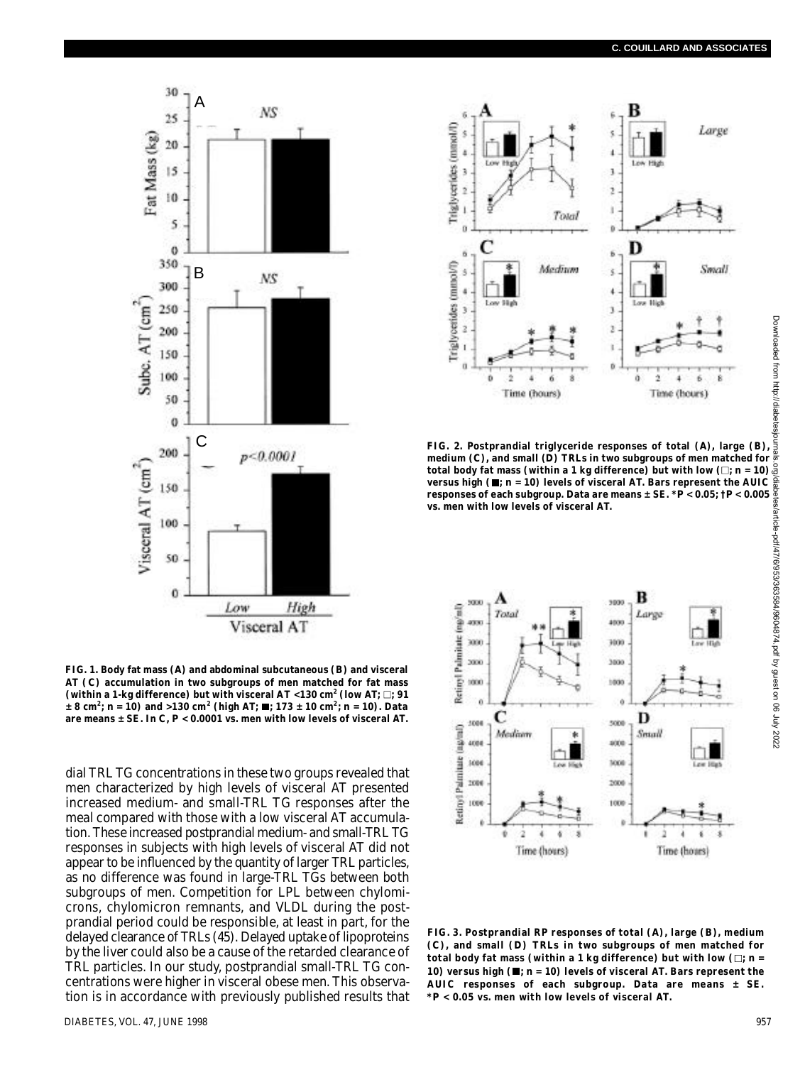

**FIG. 1. Body fat mass (***A***) and abdominal subcutaneous (***B***) and visceral AT (***C***) accumulation in two subgroups of men matched for fat mass (within a 1-kg difference) but with visceral AT <130 cm<sup>2</sup> (low AT; ; 91 ± 8 cm<sup>2</sup> ;** *n* **= 10) and >130 cm<sup>2</sup> (high AT; ; 173 ± 10 cm<sup>2</sup> ;** *n* **= 10). Data are means ± SE. In** *C***,** *P* **< 0.0001 vs. men with low levels of visceral AT.**

dial TRL TG concentrations in these two groups revealed that men characterized by high levels of visceral AT presented increased medium- and small-TRL TG responses after the meal compared with those with a low visceral AT accumulation. These increased postprandial medium- and small-TRL TG responses in subjects with high levels of visceral AT did not appear to be influenced by the quantity of larger TRL particles, as no difference was found in large-TRL TGs between both subgroups of men. Competition for LPL between chylomicrons, chylomicron remnants, and VLDL during the postprandial period could be responsible, at least in part, for the delayed clearance of TRLs (45). Delayed uptake of lipoproteins by the liver could also be a cause of the retarded clearance of TRL particles. In our study, postprandial small-TRL TG concentrations were higher in visceral obese men. This observation is in accordance with previously published results that



C **FIG. 2. Postprandial triglyceride responses of total (***A***), large (***B***) , medium (***C***), and small (***D***) TRLs in two subgroups of men matched for total body fat mass (within a 1 kg difference) but with low**  $(\square; n = 10)$ **versus high ( ;** *n* **= 10) levels of visceral AT. Bars represent the AUIC responses of each subgroup. Data are means ± SE. \****P* **< 0.05; †***P* **< 0.005 vs. men with low levels of visceral AT.**



**FIG. 3. Postprandial RP responses of total (***A***), large (***B***), medium (***C***), and small (***D***) TRLs in two subgroups of men matched for total body fat mass (within a 1 kg difference) but with low**  $(\square; n =$ **10) versus high (■;** *n* **= 10) levels of visceral AT. Bars represent the AUIC responses of each subgroup. Data are means ± SE. \****P* **< 0.05 vs. men with low levels of visceral AT.**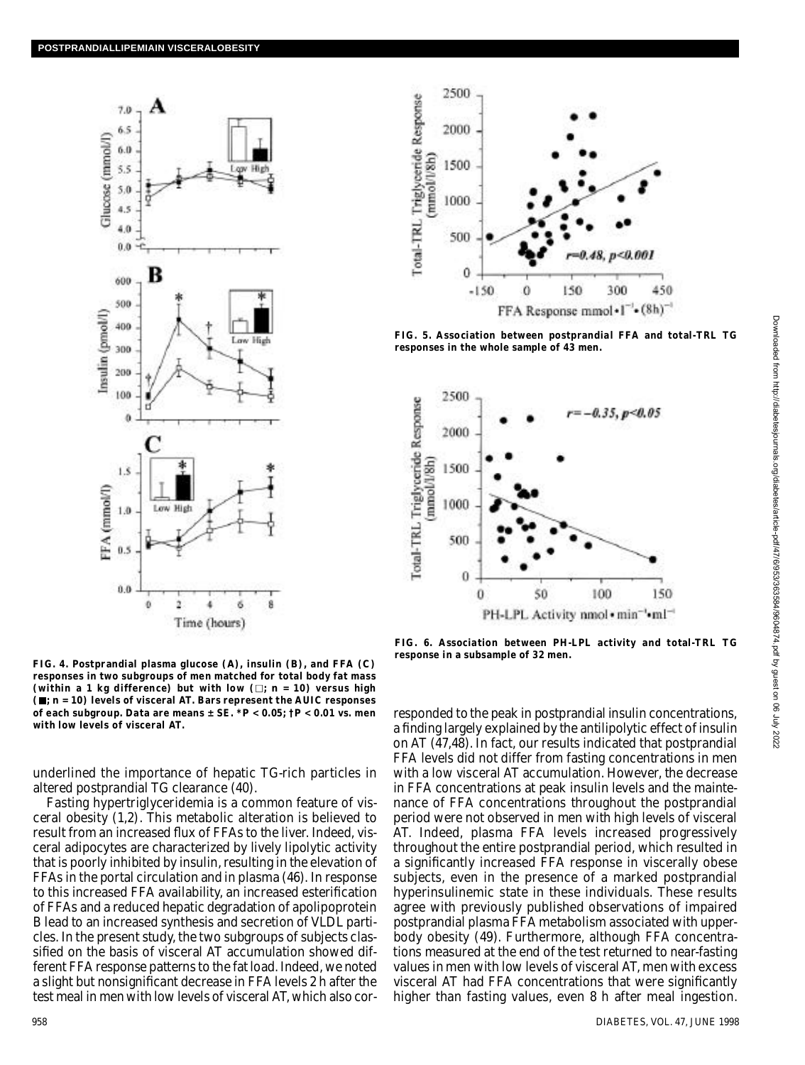

2500 Total-TRL Triglyceride Response 2000 (mmol/l/8h) 1500 1000 500  $p<0.001$ 0 150 300 450  $-150$ o FFA Response mmol•l<sup>-1</sup>•(8h)<sup>-≀</sup>

**FIG. 5. Association between postprandial FFA and total-TRL TG responses in the whole sample of 43 men.**



**FIG. 4. Postprandial plasma glucose (***A***), insulin (***B***), and FFA (***C***) responses in two subgroups of men matched for total body fat mass** (within a 1 kg difference) but with low  $(\square; n = 10)$  versus high **( ;** *n* **= 10) levels of visceral AT. Bars represent the AUIC responses of each subgroup. Data are means ± SE. \****P* **< 0.05; †***P* **< 0.01 vs. men with low levels of visceral AT.**

underlined the importance of hepatic TG-rich particles in altered postprandial TG clearance (40).

Fasting hypertriglyceridemia is a common feature of visceral obesity (1,2). This metabolic alteration is believed to result from an increased flux of FFAs to the liver. Indeed, visceral adipocytes are characterized by lively lipolytic activity that is poorly inhibited by insulin, resulting in the elevation of FFAs in the portal circulation and in plasma (46). In response to this increased FFA availability, an increased esterification of FFAs and a reduced hepatic degradation of apolipoprotein B lead to an increased synthesis and secretion of VLDL particles. In the present study, the two subgroups of subjects classified on the basis of visceral AT accumulation showed different FFA response patterns to the fat load. Indeed, we noted a slight but nonsignificant decrease in FFA levels 2 h after the test meal in men with low levels of visceral AT, which also cor-

**FIG. 6. Association between PH-LPL activity and total-TRL TG response in a subsample of 32 men.**

responded to the peak in postprandial insulin concentrations, a finding largely explained by the antilipolytic effect of insulin on AT (47,48). In fact, our results indicated that postprandial FFA levels did not differ from fasting concentrations in men with a low visceral AT accumulation. However, the decrease in FFA concentrations at peak insulin levels and the maintenance of FFA concentrations throughout the postprandial period were not observed in men with high levels of visceral AT. Indeed, plasma FFA levels increased progressively throughout the entire postprandial period, which resulted in a significantly increased FFA response in viscerally obese subjects, even in the presence of a marked postprandial hyperinsulinemic state in these individuals. These results agree with previously published observations of impaired postprandial plasma FFA metabolism associated with upperbody obesity (49). Furthermore, although FFA concentrations measured at the end of the test returned to near-fasting values in men with low levels of visceral AT, men with excess visceral AT had FFA concentrations that were significantly higher than fasting values, even 8 h after meal ingestion.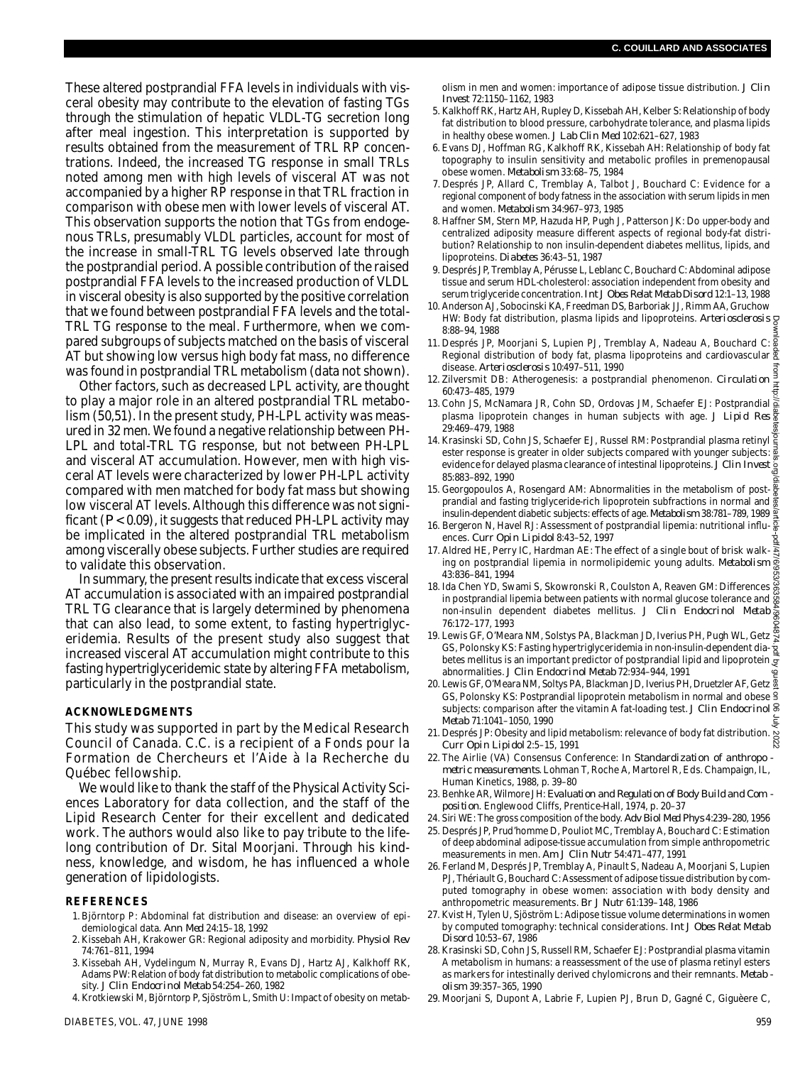These altered postprandial FFA levels in individuals with visceral obesity may contribute to the elevation of fasting TGs through the stimulation of hepatic VLDL-TG secretion long after meal ingestion. This interpretation is supported by results obtained from the measurement of TRL RP concentrations. Indeed, the increased TG response in small TRLs noted among men with high levels of visceral AT was not accompanied by a higher RP response in that TRL fraction in comparison with obese men with lower levels of visceral AT. This observation supports the notion that TGs from endogenous TRLs, presumably VLDL particles, account for most of the increase in small-TRL TG levels observed late through the postprandial period. A possible contribution of the raised postprandial FFA levels to the increased production of VLDL in visceral obesity is also supported by the positive correlation that we found between postprandial FFA levels and the total-TRL TG response to the meal. Furthermore, when we compared subgroups of subjects matched on the basis of visceral AT but showing low versus high body fat mass, no difference was found in postprandial TRL metabolism (data not shown).

Other factors, such as decreased LPL activity, are thought to play a major role in an altered postprandial TRL metabolism (50,51). In the present study, PH-LPL activity was measured in 32 men. We found a negative relationship between PH-LPL and total-TRL TG response, but not between PH-LPL and visceral AT accumulation. However, men with high visceral AT levels were characterized by lower PH-LPL activity compared with men matched for body fat mass but showing low visceral AT levels. Although this difference was not significant (*P*< 0.09), it suggests that reduced PH-LPL activity may be implicated in the altered postprandial TRL metabolism among viscerally obese subjects. Further studies are required to validate this observation.

In summary, the present results indicate that excess visceral AT accumulation is associated with an impaired postprandial TRL TG clearance that is largely determined by phenomena that can also lead, to some extent, to fasting hypertriglyceridemia. Results of the present study also suggest that increased visceral AT accumulation might contribute to this fasting hypertriglyceridemic state by altering FFA metabolism, particularly in the postprandial state.

## **ACKNOWLEDGMENTS**

This study was supported in part by the Medical Research Council of Canada. C.C. is a recipient of a Fonds pour la Formation de Chercheurs et l'Aide à la Recherche du Québec fellowship.

We would like to thank the staff of the Physical Activity Sciences Laboratory for data collection, and the staff of the Lipid Research Center for their excellent and dedicated work. The authors would also like to pay tribute to the lifelong contribution of Dr. Sital Moorjani. Through his kindness, knowledge, and wisdom, he has influenced a whole generation of lipidologists.

## **R E F E R E N C E S**

- 1 .Björntorp P: Abdominal fat distribution and disease: an overview of epidemiological data. *Ann Med* 24:15–18, 1992
- 2 . Kissebah AH, Krakower GR: Regional adiposity and morbidity. *Physiol Rev* 74:761–811, 1994
- 3 . Kissebah AH, Vydelingum N, Murray R, Evans DJ, Hartz AJ, Kalkhoff RK, Adams PW: Relation of body fat distribution to metabolic complications of obes i t y. *J Clin Endocrinol Metab* 54:254–260, 1982
- 4 . Krotkiewski M, Björntorp P, Sjöström L, Smith U: Impact of obesity on metab-

olism in men and women: importance of adipose tissue distribution. *J Clin I n v e s t* 72:1150–1162, 1983

- 5 . Kalkhoff RK, Hartz AH, Rupley D, Kissebah AH, Kelber S: Relationship of body fat distribution to blood pressure, carbohydrate tolerance, and plasma lipids in healthy obese women. *J Lab Clin Med* 102:621–627, 1983
- 6 . Evans DJ, Hoffman RG, Kalkhoff RK, Kissebah AH: Relationship of body fat topography to insulin sensitivity and metabolic profiles in premenopausal obese women. Metabolism 33:68-75, 1984
- 7 . Després JP, Allard C, Tremblay A, Talbot J, Bouchard C: Evidence for a regional component of body fatness in the association with serum lipids in men and women. *Metabolism* 34:967-973, 1985
- 8 . Haffner SM, Stern MP, Hazuda HP, Pugh J, Patterson JK: Do upper-body and centralized adiposity measure different aspects of regional body-fat distribution? Relationship to non insulin-dependent diabetes mellitus, lipids, and lipoproteins. *Diabetes* 36:43–51, 1987
- 9 . Després JP, Tremblay A, Pérusse L, Leblanc C, Bouchard C: Abdominal adipose tissue and serum HDL-cholesterol: association independent from obesity and serum triglyceride concentration. *Int J Obes Relat Metab Disord* 12:1–13, 1988
- 10. Anderson AJ, Sobocinski KA, Freedman DS, Barboriak JJ, Rimm AA, Gruchow HW: Body fat distribution, plasma lipids and lipoproteins. Arteriosclerosis of 8:88–94, 1988
- 11. Després JP, Moorjani S, Lupien PJ, Tremblay A, Nadeau A, Bouchard C:  $\frac{5}{9}$ Regional distribution of body fat, plasma lipoproteins and cardiovascular  $\frac{8}{2}$ disease. *A r t e r i o s c l e r o s i s* 10:497–511, 1990
- 12. Zilversmit DB: Atherogenesis: a postprandial phenomenon. *Circulation* = 60:473–485, 1979
- 13. Cohn JS, McNamara JR, Cohn SD, Ordovas JM, Schaefer EJ: Postprandial plasma lipoprotein changes in human subjects with age. *J Lipid Res* 29:469–479, 1988
- 14. Krasinski SD, Cohn JS, Schaefer EJ, Russel RM: Postprandial plasma retinyl ester response is greater in older subjects compared with younger subjects: evidence for delayed plasma clearance of intestinal lipoproteins. *J Clin Invest* 85:883–892, 1990
- 15. Georgopoulos A, Rosengard AM: Abnormalities in the metabolism of postprandial and fasting triglyceride-rich lipoprotein subfractions in normal and insulin-dependent diabetic subjects: effects of age. *Metabolism* 38:781–789, 1989 g
- 16. Bergeron N, Havel RJ: Assessment of postprandial lipemia: nutritional influ- $\frac{5}{8}$ ences. *Curr Opin Lipidol* 8:43–52, 1997
- 17. Aldred HE, Perry IC, Hardman AE: The effect of a single bout of brisk walk- $\frac{3}{5}$ ing on postprandial lipemia in normolipidemic young adults. *Metabolism* 43:836–841, 1994
- 18. Ida Chen YD, Swami S, Skowronski R, Coulston A, Reaven GM: Differences & in postprandial lipemia between patients with normal glucose tolerance and  $\frac{\infty}{6}$ non-insulin dependent diabetes mellitus. *J Clin Endocrinol Metab* 76:172–177, 1993 Downloaded from http://diabetesjournals.org/diabetes/article-pdf/47/6/953/363584/9604874.pdf by guest on 06 July 2022
- 19. Lewis GF, O'Meara NM, Solstys PA, Blackman JD, Iverius PH, Pugh WL, Getz  $\frac{\infty}{\Delta}$ GS, Polonsky KS: Fasting hypertriglyceridemia in non-insulin-dependent diabetes mellitus is an important predictor of postprandial lipid and lipoprotein  $\vec{g}$ abnormalities. *J Clin Endocrinol Metab* 72:934–944, 1991
- 20. Lewis GF, O'Meara NM, Soltys PA, Blackman JD, Iverius PH, Druetzler AF, Getz  $\frac{m}{2}$ GS, Polonsky KS: Postprandial lipoprotein metabolism in normal and obese subjects: comparison after the vitamin A fat-loading test. *J Clin Endocrinol M e t a b* 71:1041–1050, 1990
- 21. Després JP: Obesity and lipid metabolism: relevance of body fat distribution. *Curr Opin Lipidol* 2:5–15, 1991
- 2 2 . The Airlie (VA) Consensus Conference: In *Standardization of anthropo metric measurements*. Lohman T, Roche A, Martorel R, Eds. Champaign, IL, Human Kinetics, 1988, p. 39–80
- 2 3 . Benhke AR, Wilmore JH: *Evaluation and Regulation of Body Build and Com*  position. Englewood Cliffs, Prentice-Hall, 1974, p. 20-37
- 2 4 . Siri WE: The gross composition of the body. *Adv Biol Med Phys* 4:239–280, 1956
- 25. Després JP, Prud'homme D, Pouliot MC, Tremblay A, Bouchard C: Estimation of deep abdominal adipose-tissue accumulation from simple anthropometric measurements in men. *Am J Clin Nutr* 54:471–477, 1991
- 26. Ferland M, Després JP, Tremblay A, Pinault S, Nadeau A, Moorjani S, Lupien PJ, Thériault G, Bouchard C: Assessment of adipose tissue distribution by computed tomography in obese women: association with body density and anthropometric measurements. *Br J Nutr* 61:139–148, 1986
- 27. Kvist H, Tylen U, Sjöström L: Adipose tissue volume determinations in women by computed tomography: technical considerations. *Int J Obes Relat Metab D i s o r d* 10:53–67, 1986
- 28. Krasinski SD, Cohn JS, Russell RM, Schaefer EJ: Postprandial plasma vitamin A metabolism in humans: a reassessment of the use of plasma retinyl esters as markers for intestinally derived chylomicrons and their remnants. Metab *o l i s m* 39:357–365, 1990
- 2 9 . Moorjani S, Dupont A, Labrie F, Lupien PJ, Brun D, Gagné C, Giguèere C,